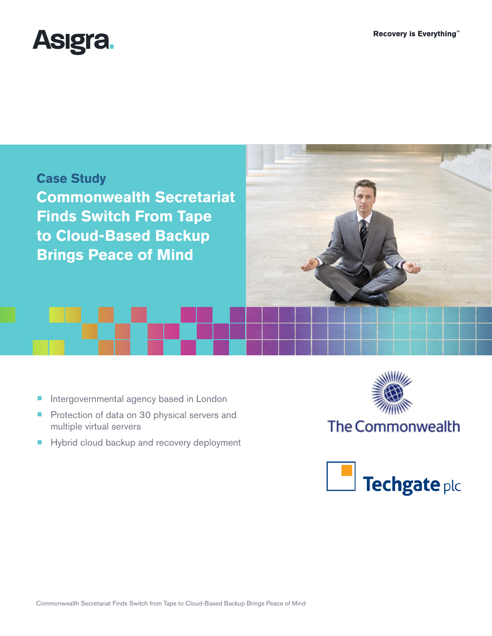



- Intergovernmental agency based in London
- Protection of data on 30 physical servers and multiple virtual servers
- Hybrid cloud backup and recovery deployment



# The Commonwealth

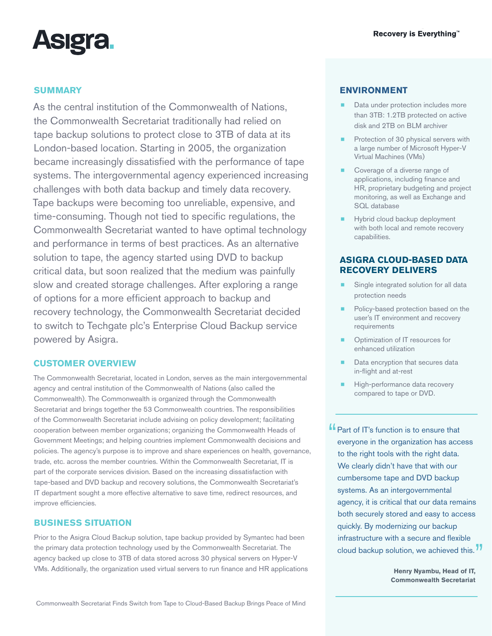

# **SUMMARY**

As the central institution of the Commonwealth of Nations, the Commonwealth Secretariat traditionally had relied on tape backup solutions to protect close to 3TB of data at its London-based location. Starting in 2005, the organization became increasingly dissatisfied with the performance of tape systems. The intergovernmental agency experienced increasing challenges with both data backup and timely data recovery. Tape backups were becoming too unreliable, expensive, and time-consuming. Though not tied to specific regulations, the Commonwealth Secretariat wanted to have optimal technology and performance in terms of best practices. As an alternative solution to tape, the agency started using DVD to backup critical data, but soon realized that the medium was painfully slow and created storage challenges. After exploring a range of options for a more efficient approach to backup and recovery technology, the Commonwealth Secretariat decided to switch to [Techgate plc's](http://www.techgateplc.com/) Enterprise Cloud Backup service powered by Asigra.

### **CUSTOMER OVERVIEW**

The Commonwealth Secretariat, located in London, serves as the main intergovernmental agency and central institution of the Commonwealth of Nations (also called the Commonwealth). The Commonwealth is organized through the Commonwealth Secretariat and brings together the 53 Commonwealth countries. The responsibilities of the Commonwealth Secretariat include advising on policy development; facilitating cooperation between member organizations; organizing the Commonwealth Heads of Government Meetings; and helping countries implement Commonwealth decisions and policies. The agency's purpose is to improve and share experiences on health, governance, trade, etc. across the member countries. Within the Commonwealth Secretariat, IT is part of the corporate services division. Based on the increasing dissatisfaction with tape-based and DVD backup and recovery solutions, the Commonwealth Secretariat's IT department sought a more effective alternative to save time, redirect resources, and improve efficiencies.

## **BUSINESS SITUATION**

Prior to the Asigra Cloud Backup solution, tape backup provided by Symantec had been the primary data protection technology used by the Commonwealth Secretariat. The agency backed up close to 3TB of data stored across 30 physical servers on Hyper-V VMs. Additionally, the organization used virtual servers to run finance and HR applications

# **ENVIRONMENT**

- Data under protection includes more than 3TB: 1.2TB protected on active disk and 2TB on BLM archiver
- Protection of 30 physical servers with a large number of Microsoft Hyper-V Virtual Machines (VMs)
- Coverage of a diverse range of applications, including finance and HR, proprietary budgeting and project monitoring, as well as Exchange and SQL database
- Hybrid cloud backup deployment with both local and remote recovery capabilities.

# **ASIGRA CLOUD-BASED DATA RECOVERY DELIVERS**

- Single integrated solution for all data protection needs
- Policy-based protection based on the user's IT environment and recovery requirements
- Optimization of IT resources for enhanced utilization
- Data encryption that secures data in-flight and at-rest
- High-performance data recovery compared to tape or DVD.

**"** Part of IT's function is to ensure that everyone in the organization has access to the right tools with the right data. We clearly didn't have that with our cumbersome tape and DVD backup systems. As an intergovernmental agency, it is critical that our data remains both securely stored and easy to access quickly. By modernizing our backup infrastructure with a secure and flexible cloud backup solution, we achieved this.<sup>77</sup>

> **Henry Nyambu, Head of IT, Commonwealth Secretariat**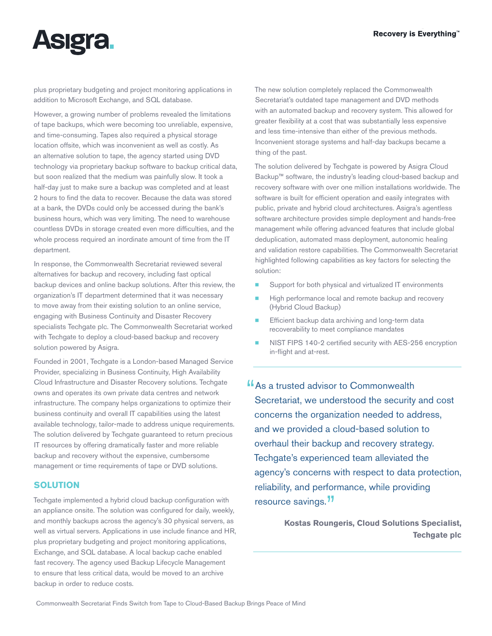

plus proprietary budgeting and project monitoring applications in addition to Microsoft Exchange, and SQL database.

However, a growing number of problems revealed the limitations of tape backups, which were becoming too unreliable, expensive, and time-consuming. Tapes also required a physical storage location offsite, which was inconvenient as well as costly. As an alternative solution to tape, the agency started using DVD technology via proprietary backup software to backup critical data, but soon realized that the medium was painfully slow. It took a half-day just to make sure a backup was completed and at least 2 hours to find the data to recover. Because the data was stored at a bank, the DVDs could only be accessed during the bank's business hours, which was very limiting. The need to warehouse countless DVDs in storage created even more difficulties, and the whole process required an inordinate amount of time from the IT department.

In response, the Commonwealth Secretariat reviewed several alternatives for backup and recovery, including fast optical backup devices and online backup solutions. After this review, the organization's IT department determined that it was necessary to move away from their existing solution to an online service, engaging with Business Continuity and Disaster Recovery specialists Techgate plc. The Commonwealth Secretariat worked with Techgate to deploy a cloud-based backup and recovery solution powered by Asigra.

Founded in 2001, Techgate is a London-based Managed Service Provider, specializing in Business Continuity, High Availability Cloud Infrastructure and Disaster Recovery solutions. Techgate owns and operates its own private data centres and network infrastructure. The company helps organizations to optimize their business continuity and overall IT capabilities using the latest available technology, tailor-made to address unique requirements. The solution delivered by Techgate guaranteed to return precious IT resources by offering dramatically faster and more reliable backup and recovery without the expensive, cumbersome management or time requirements of tape or DVD solutions.

# **SOLUTION**

Techgate implemented a hybrid cloud backup configuration with an appliance onsite. The solution was configured for daily, weekly, and monthly backups across the agency's 30 physical servers, as well as virtual servers. Applications in use include finance and HR, plus proprietary budgeting and project monitoring applications, Exchange, and SQL database. A local backup cache enabled fast recovery. The agency used Backup Lifecycle Management to ensure that less critical data, would be moved to an archive backup in order to reduce costs.

The new solution completely replaced the Commonwealth Secretariat's outdated tape management and DVD methods with an automated backup and recovery system. This allowed for greater flexibility at a cost that was substantially less expensive and less time-intensive than either of the previous methods. Inconvenient storage systems and half-day backups became a thing of the past.

The solution delivered by Techgate is powered by Asigra Cloud Backup™ software, the industry's leading cloud-based backup and recovery software with over one million installations worldwide. The software is built for efficient operation and easily integrates with public, private and hybrid cloud architectures. Asigra's agentless software architecture provides simple deployment and hands-free management while offering advanced features that include global deduplication, automated mass deployment, autonomic healing and validation restore capabilities. The Commonwealth Secretariat highlighted following capabilities as key factors for selecting the solution:

- Support for both physical and virtualized IT environments
- High performance local and remote backup and recovery (Hybrid Cloud Backup)
- Efficient backup data archiving and long-term data recoverability to meet compliance mandates
- [NIST FIPS 140-2 certified security](http://www.asigra.com/fips-140-2-certification-backup) with AES-256 encryption in-flight and at-rest.

**"As a trusted advisor to Commonwealth"** Secretariat, we understood the security and cost concerns the organization needed to address, and we provided a cloud-based solution to overhaul their backup and recovery strategy. Techgate's experienced team alleviated the agency's concerns with respect to data protection, reliability, and performance, while providing resource savings.<sup>"</sup>

> **Kostas Roungeris, Cloud Solutions Specialist, Techgate plc**